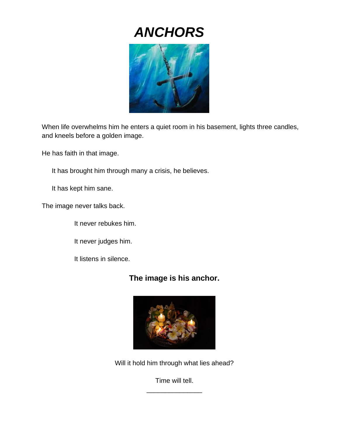# *ANCHORS*



When life overwhelms him he enters a quiet room in his basement, lights three candles, and kneels before a golden image.

He has faith in that image.

It has brought him through many a crisis, he believes.

It has kept him sane.

The image never talks back.

It never rebukes him.

It never judges him.

It listens in silence.

## **The image is his anchor.**



Will it hold him through what lies ahead?

Time will tell. \_\_\_\_\_\_\_\_\_\_\_\_\_\_\_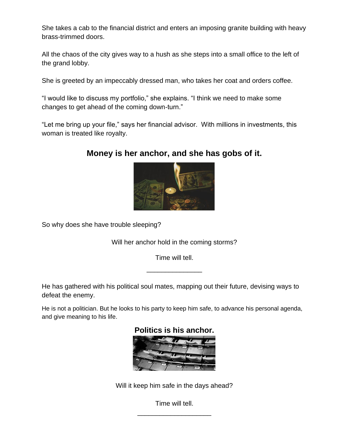She takes a cab to the financial district and enters an imposing granite building with heavy brass-trimmed doors.

All the chaos of the city gives way to a hush as she steps into a small office to the left of the grand lobby.

She is greeted by an impeccably dressed man, who takes her coat and orders coffee.

"I would like to discuss my portfolio," she explains. "I think we need to make some changes to get ahead of the coming down-turn."

"Let me bring up your file," says her financial advisor. With millions in investments, this woman is treated like royalty.

## **Money is her anchor, and she has gobs of it.**



So why does she have trouble sleeping?

Will her anchor hold in the coming storms?

Time will tell.

\_\_\_\_\_\_\_\_\_\_\_\_\_\_\_

He has gathered with his political soul mates, mapping out their future, devising ways to defeat the enemy.

He is not a politician. But he looks to his party to keep him safe, to advance his personal agenda, and give meaning to his life.



Will it keep him safe in the days ahead?

Time will tell. \_\_\_\_\_\_\_\_\_\_\_\_\_\_\_\_\_\_\_\_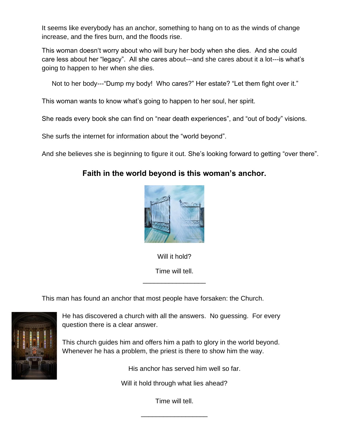It seems like everybody has an anchor, something to hang on to as the winds of change increase, and the fires burn, and the floods rise.

This woman doesn't worry about who will bury her body when she dies. And she could care less about her "legacy". All she cares about---and she cares about it a lot---is what's going to happen to her when she dies.

Not to her body---"Dump my body! Who cares?" Her estate? "Let them fight over it."

This woman wants to know what's going to happen to her soul, her spirit.

She reads every book she can find on "near death experiences", and "out of body" visions.

She surfs the internet for information about the "world beyond".

And she believes she is beginning to figure it out. She's looking forward to getting "over there".

### **Faith in the world beyond is this woman's anchor.**



Will it hold? Time will tell.

\_\_\_\_\_\_\_\_\_\_\_\_\_\_\_\_\_

This man has found an anchor that most people have forsaken: the Church.



He has discovered a church with all the answers. No guessing. For every question there is a clear answer.

This church guides him and offers him a path to glory in the world beyond. Whenever he has a problem, the priest is there to show him the way.

His anchor has served him well so far.

Will it hold through what lies ahead?

Time will tell.

\_\_\_\_\_\_\_\_\_\_\_\_\_\_\_\_\_\_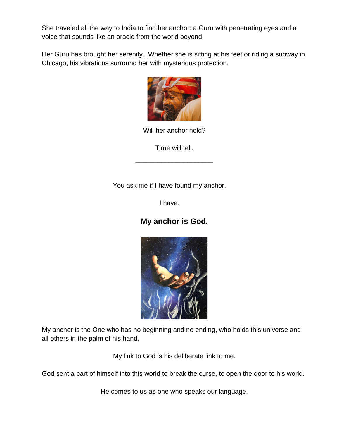She traveled all the way to India to find her anchor: a Guru with penetrating eyes and a voice that sounds like an oracle from the world beyond.

Her Guru has brought her serenity. Whether she is sitting at his feet or riding a subway in Chicago, his vibrations surround her with mysterious protection.



Will her anchor hold?

Time will tell.

\_\_\_\_\_\_\_\_\_\_\_\_\_\_\_\_\_\_\_\_\_

You ask me if I have found my anchor.

I have.

## **My anchor is God.**



My anchor is the One who has no beginning and no ending, who holds this universe and all others in the palm of his hand.

My link to God is his deliberate link to me.

God sent a part of himself into this world to break the curse, to open the door to his world.

He comes to us as one who speaks our language.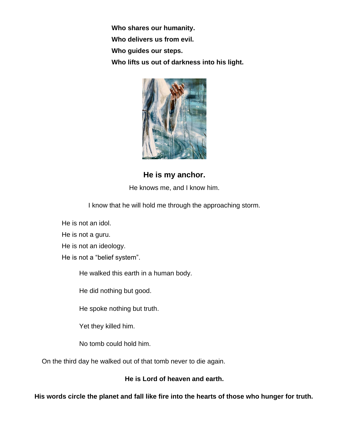**Who shares our humanity. Who delivers us from evil. Who guides our steps. Who lifts us out of darkness into his light.**



**He is my anchor.** He knows me, and I know him.

I know that he will hold me through the approaching storm.

He is not an idol.

He is not a guru.

He is not an ideology.

He is not a "belief system".

He walked this earth in a human body.

He did nothing but good.

He spoke nothing but truth.

Yet they killed him.

No tomb could hold him.

On the third day he walked out of that tomb never to die again.

#### **He is Lord of heaven and earth.**

**His words circle the planet and fall like fire into the hearts of those who hunger for truth.**